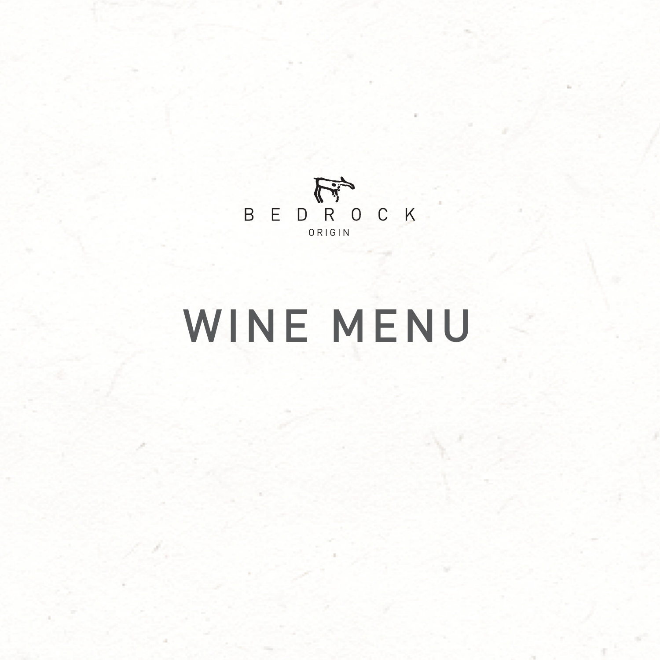# WINE MENU

54

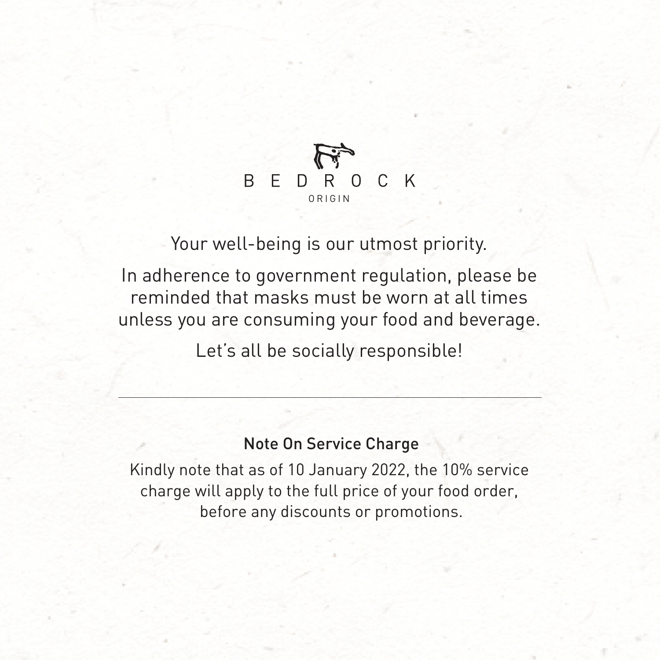Your well-being is our utmost priority. In adherence to government regulation, please be reminded that masks must be worn at all times unless you are consuming your food and beverage. Let's all be socially responsible!



### Note On Service Charge

Kindly note that as of 10 January 2022, the 10% service charge will apply to the full price of your food order, before any discounts or promotions.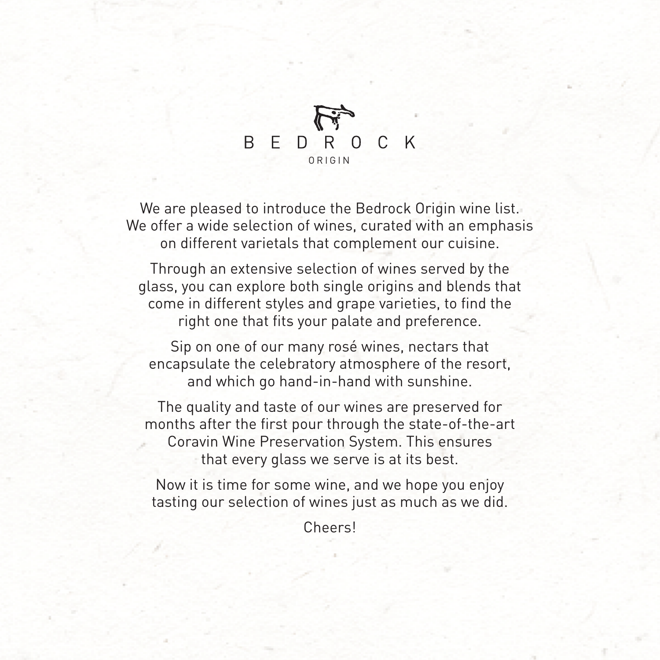We are pleased to introduce the Bedrock Origin wine list. We offer a wide selection of wines, curated with an emphasis on different varietals that complement our cuisine.

Through an extensive selection of wines served by the glass, you can explore both single origins and blends that

come in different styles and grape varieties, to find the right one that fits your palate and preference.

Sip on one of our many rosé wines, nectars that encapsulate the celebratory atmosphere of the resort, and which go hand-in-hand with sunshine.

The quality and taste of our wines are preserved for months after the first pour through the state-of-the-art Coravin Wine Preservation System. This ensures that every glass we serve is at its best.

Now it is time for some wine, and we hope you enjoy tasting our selection of wines just as much as we did.

Cheers!

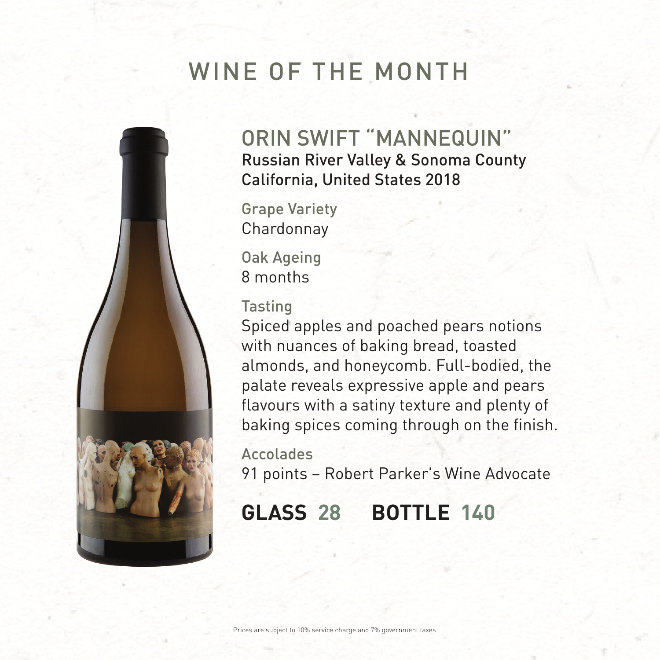Prices are subject to 10% service charge and 7% government taxes.

## WINE OF THE MONTH



ORIN SWIFT "MANNEQUIN" Russian River Valley & Sonoma County California, United States 2018

Grape Variety Chardonnay

Oak Ageing 8 months

### Tasting

Spiced apples and poached pears notions with nuances of baking bread, toasted almonds, and honeycomb. Full-bodied, the palate reveals expressive apple and pears flavours with a satiny texture and plenty of baking spices coming through on the finish.

Accolades 91 points – Robert Parker's Wine Advocate

## **GLASS 28 BOTTLE 140**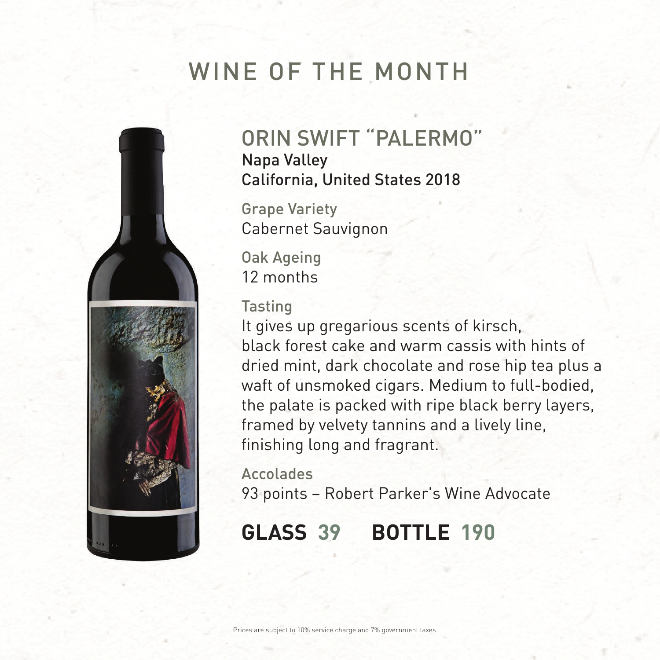Prices are subject to 10% service charge and 7% government taxes.

## WINE OF THE MONTH



ORIN SWIFT "PALERMO" Napa Valley California, United States 2018

Grape Variety Cabernet Sauvignon

Oak Ageing 12 months

### Tasting

It gives up gregarious scents of kirsch, black forest cake and warm cassis with hints of dried mint, dark chocolate and rose hip tea plus a waft of unsmoked cigars. Medium to full-bodied, the palate is packed with ripe black berry layers, framed by velvety tannins and a lively line, finishing long and fragrant.

Accolades 93 points – Robert Parker's Wine Advocate

## **GLASS 39 BOTTLE 190**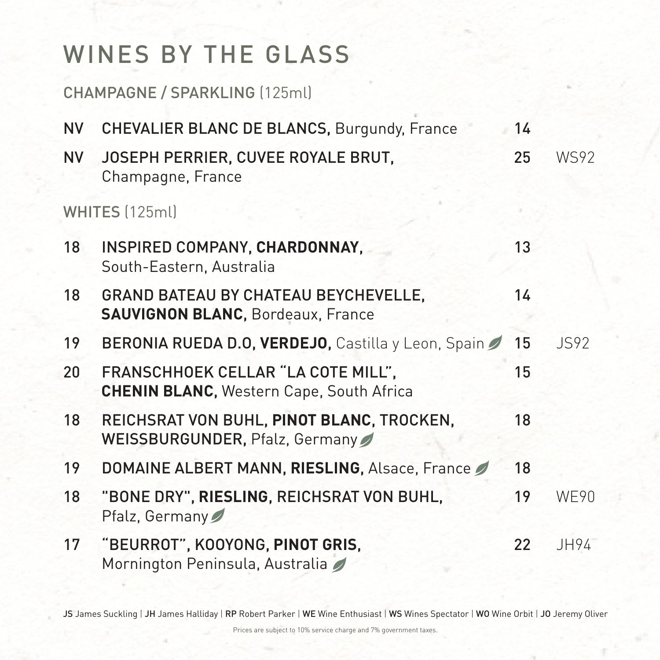CHAMPAGNE / SPARKLING (125ml)

- NV CHEVALIER BLANC DE BLANCS, Burgundy, France 14
- NV JOSEPH PERRIER, CUVEE ROYALE BRUT, 25 WS92 Champagne, France

WHITES (125ml)

- 18 INSPIRED COMPANY, CHARDONNAY, 13 South-Eastern, Australia
- 18 GRAND BATEAU BY CHATEAU BEYCHEVELLE, 14 **SAUVIGNON BLANC**, Bordeaux, France
- 19 BERONIA RUEDA D.O, VERDEJO, Castilla y Leon, Spain 15 JS92
- 20 FRANSCHHOEK CELLAR "LA COTE MILL", 15 **CHENIN BLANC**, Western Cape, South Africa
- 18 REICHSRAT VON BUHL, **PINOT BLANC**, TROCKEN, 18 WEISSBURGUNDER, Pfalz, Germany
- 19 DOMAINE ALBERT MANN, RIESLING, Alsace, France 18
- 18 "BONE DRY", **RIESLING**, REICHSRAT VON BUHL, 19 WE90 Pfalz, Germany
- 17 "BEURROT", KOOYONG, **PINOT GRIS**, 22 JH94 Mornington Peninsula, Australia

### JS James Suckling | JH James Halliday | RP Robert Parker | WE Wine Enthusiast | WS Wines Spectator | WO Wine Orbit | JO Jeremy Oliver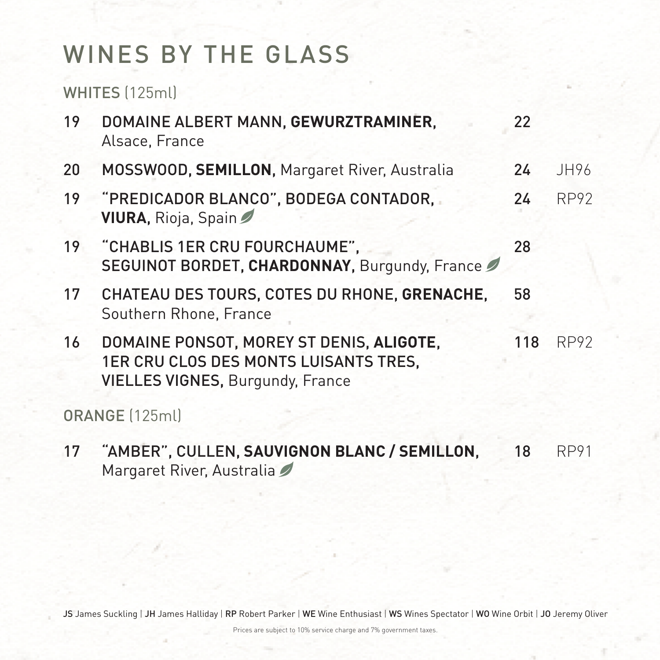WHITES (125ml)

17 "AMBER", CULLEN, **SAUVIGNON BLANC / SEMILLON**, 18 RP91 Margaret River, Australia

### JS James Suckling | JH James Halliday | RP Robert Parker | WE Wine Enthusiast | WS Wines Spectator | WO Wine Orbit | JO Jeremy Oliver

- 19 DOMAINE ALBERT MANN, **GEWURZTRAMINER**, 22 Alsace, France
- 20 MOSSWOOD, **SEMILLON**, Margaret River, Australia 24 JH96
- 19 "PREDICADOR BLANCO", BODEGA CONTADOR, 24 RP92 **VIURA**, Rioja, Spain
- 19 "CHABLIS 1ER CRU FOURCHAUME", 28 SEGUINOT BORDET, **CHARDONNAY**, Burgundy, France
- 17 CHATEAU DES TOURS, COTES DU RHONE, **GRENACHE**, 58 Southern Rhone, France
- 16 DOMAINE PONSOT, MOREY ST DENIS, **ALIGOTE**, 118 RP92 1ER CRU CLOS DES MONTS LUISANTS TRES, VIELLES VIGNES, Burgundy, France

ORANGE (125ml)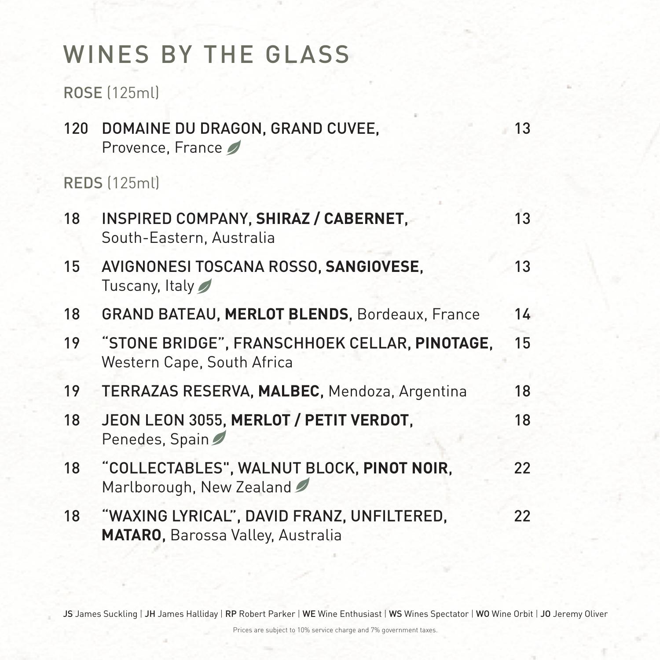ROSE (125ml)

120 DOMAINE DU DRAGON, GRAND CUVEE, 13 Provence, France

REDS (125ml)

- 18 INSPIRED COMPANY, SHIRAZ / CABERNET, 13 South-Eastern, Australia
- 15 AVIGNONESI TOSCANA ROSSO, **SANGIOVESE**, 13 Tuscany, Italy
- 18 GRAND BATEAU, **MERLOT BLENDS**, Bordeaux, France 14
- 19 "STONE BRIDGE", FRANSCHHOEK CELLAR, **PINOTAGE**, 15 Western Cape, South Africa
- 19 TERRAZAS RESERVA, **MALBEC**, Mendoza, Argentina 18
- 18 JEON LEON 3055, MERLOT / PETIT VERDOT, 18 Penedes, Spain
- 18 "COLLECTABLES", WALNUT BLOCK, **PINOT NOIR**, 22 Marlborough, New Zealand
- 18 "WAXING LYRICAL", DAVID FRANZ, UNFILTERED, 22 **MATARO**, Barossa Valley, Australia

### JS James Suckling | JH James Halliday | RP Robert Parker | WE Wine Enthusiast | WS Wines Spectator | WO Wine Orbit | JO Jeremy Oliver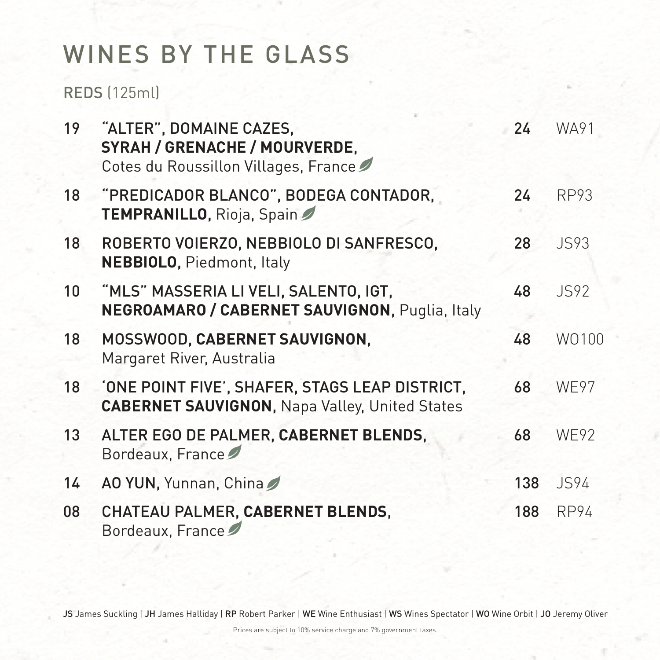REDS (125ml)

- 19 "ALTER", DOMAINE CAZES, 24 WA91 **SYRAH / GRENACHE / MOURVERDE**, Cotes du Roussillon Villages, France
- 18 "PREDICADOR BLANCO", BODEGA CONTADOR, 24 RP93 **TEMPRANILLO**, Rioja, Spain
- 18 ROBERTO VOIERZO, NEBBIOLO DI SANFRESCO, 28 JS93 **NEBBIOLO**, Piedmont, Italy
- 10 "MLS" MASSERIA LI VELI, SALENTO, IGT, 48 JS92

- 18 MOSSWOOD, **CABERNET SAUVIGNON**, 48 WO100 Margaret River, Australia
- 18 'ONE POINT FIVE', SHAFER, STAGS LEAP DISTRICT, 68 WE97 **CABERNET SAUVIGNON**, Napa Valley, United States
- 13 ALTER EGO DE PALMER, CABERNET BLENDS, 68 WE92 Bordeaux, France
- 14 AO YUN, Yunnan, China 2 138 JS94
- **08 CHATEAU PALMER, CABERNET BLENDS, 188 RP94** Bordeaux, France

### JS James Suckling | JH James Halliday | RP Robert Parker | WE Wine Enthusiast | WS Wines Spectator | WO Wine Orbit | JO Jeremy Oliver

**NEGROAMARO / CABERNET SAUVIGNON**, Puglia, Italy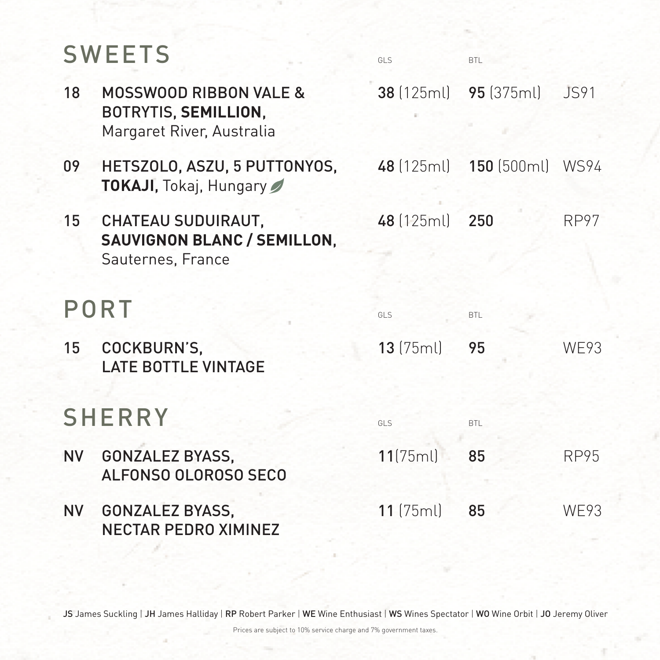## SWEETS GLS BTL

- 18 MOSSWOOD RIBBON VALE & 38 (125ml) 95 (375ml) JS91 BOTRYTIS, **SEMILLION**, Margaret River, Australia
- 09 HETSZOLO, ASZU, 5 PUTTONYOS, 48 (125ml) 150 (500ml) WS94 **TOKAJI**, Tokaj, Hungary
- 15 CHATEAU SUDUIRAUT, 48 (125ml) 250 RP97 **SAUVIGNON BLANC / SEMILLON**, Sauternes, France
- 

## PORT GLS BTL

LATE BOTTLE VINTAGE

15 COCKBURN'S, 13 (75ml) 95 WE93 SHERRY GLS BTL NV GONZALEZ BYASS, 11(75ml) 85 RP95

### JS James Suckling | JH James Halliday | RP Robert Parker | WE Wine Enthusiast | WS Wines Spectator | WO Wine Orbit | JO Jeremy Oliver

- ALFONSO OLOROSO SECO
- NV GONZALEZ BYASS, 11 (75ml) 85 WE93 NECTAR PEDRO XIMINEZ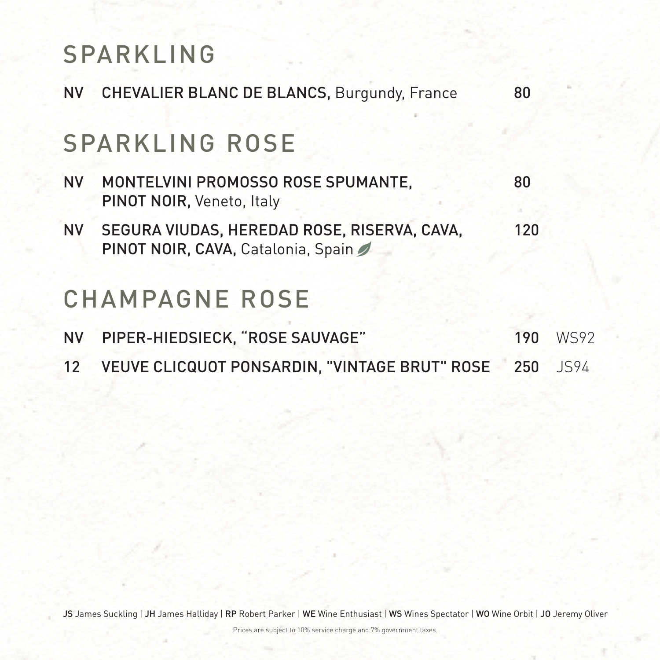## SPARKLING

NV CHEVALIER BLANC DE BLANCS, Burgundy, France 80

## SPARKLING ROSE

- NV MONTELVINI PROMOSSO ROSE SPUMANTE, 80 PINOT NOIR, Veneto, Italy
- NV SEGURA VIUDAS, HEREDAD ROSE, RISERVA, CAVA, 120 PINOT NOIR, CAVA, Catalonia, Spain

## NV PIPER-HIEDSIECK, "ROSE SAUVAGE" 190 WS92 12 VEUVE CLICQUOT PONSARDIN, "VINTAGE BRUT" ROSE 250 JS94

### JS James Suckling | JH James Halliday | RP Robert Parker | WE Wine Enthusiast | WS Wines Spectator | WO Wine Orbit | JO Jeremy Oliver

## CHAMPAGNE ROSE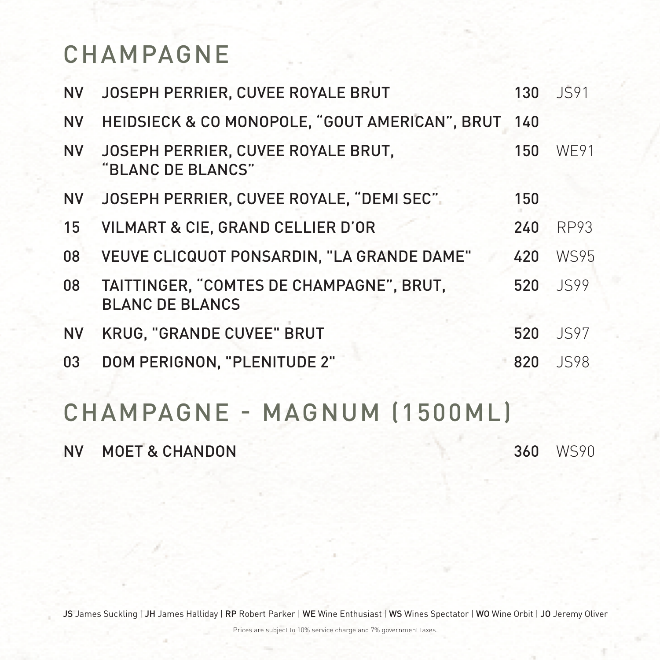## CHAMPAGNE

NV JOSEPH PERRIER, CUVEE ROYALE BRUT 130 JS91 NV HEIDSIECK & CO MONOPOLE, "GOUT AMERICAN", BRUT 140 NV JOSEPH PERRIER, CUVEE ROYALE BRUT, 150 WE91 "BLANC DE BLANCS" NV JOSEPH PERRIER, CUVEE ROYALE, "DEMI SEC" 150 15 VILMART & CIE, GRAND CELLIER D'OR 240 RP93 08 VEUVE CLICQUOT PONSARDIN, "LA GRANDE DAME" 420 WS95 08 TAITTINGER, "COMTES DE CHAMPAGNE", BRUT, 520 JS99

### BLANC DE BLANCS

NV KRUG, "GRANDE CUVEE" BRUT 520 JS97

03 DOM PERIGNON, "PLENITUDE 2" 820 JS98

# CHAMPAGNE - MAGNUM (1500ML)

NV MOET & CHANDON 360 WS90

### JS James Suckling | JH James Halliday | RP Robert Parker | WE Wine Enthusiast | WS Wines Spectator | WO Wine Orbit | JO Jeremy Oliver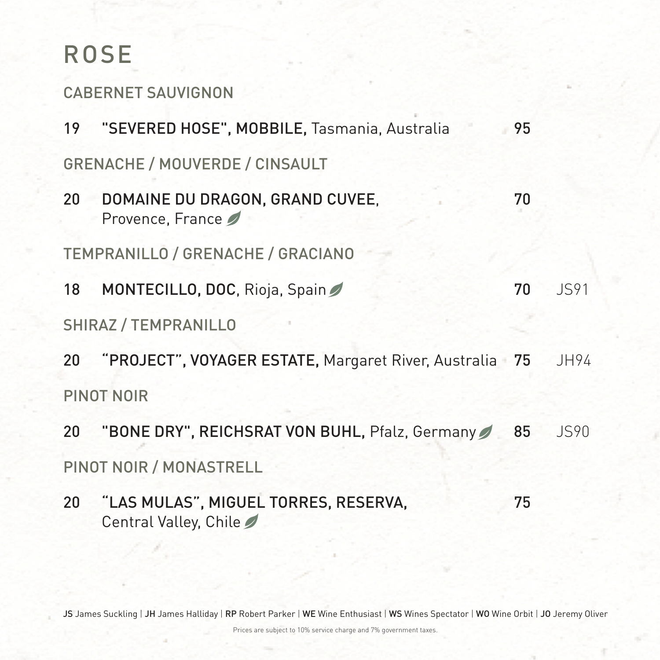## ROSE

CABERNET SAUVIGNON

19 "SEVERED HOSE", MOBBILE, Tasmania, Australia 95

20 DOMAINE DU DRAGON, GRAND CUVEE, 70 Provence, France

GRENACHE / MOUVERDE / CINSAULT

- 20 "PROJECT", VOYAGER ESTATE, Margaret River, Australia 75 JH94 PINOT NOIR
- 20 "BONE DRY", REICHSRAT VON BUHL, Pfalz, Germany 85 JS90 PINOT NOIR / MONASTRELL
- 20 "LAS MULAS", MIGUEL TORRES, RESERVA, 75 Central Valley, Chile

### JS James Suckling | JH James Halliday | RP Robert Parker | WE Wine Enthusiast | WS Wines Spectator | WO Wine Orbit | JO Jeremy Oliver

TEMPRANILLO / GRENACHE / GRACIANO

18 MONTECILLO, DOC, Rioja, Spain 70 JS91

### SHIRAZ / TEMPRANILLO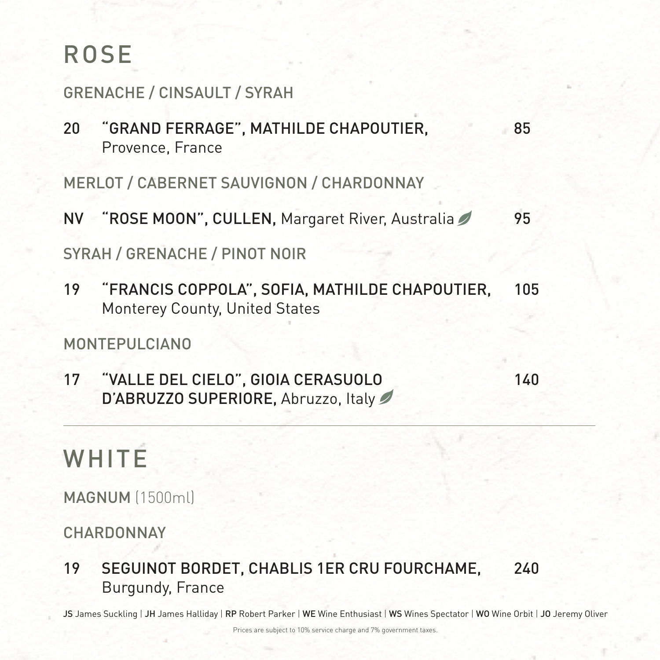## ROSE

GRENACHE / CINSAULT / SYRAH

20 "GRAND FERRAGE", MATHILDE CHAPOUTIER, 85 Provence, France

MERLOT / CABERNET SAUVIGNON / CHARDONNAY

### 17 "VALLE DEL CIELO", GIOIA CERASUOLO 140 D'ABRUZZO SUPERIORE, Abruzzo, Italy

NV "ROSE MOON", CULLEN, Margaret River, Australia 95 SYRAH / GRENACHE / PINOT NOIR

19 "FRANCIS COPPOLA", SOFIA, MATHILDE CHAPOUTIER, 105

Monterey County, United States

### MONTEPULCIANO

WHITE

MAGNUM (1500ml)

CHARDONNAY

19 SEGUINOT BORDET, CHABLIS 1ER CRU FOURCHAME, 240 Burgundy, France

### JS James Suckling | JH James Halliday | RP Robert Parker | WE Wine Enthusiast | WS Wines Spectator | WO Wine Orbit | JO Jeremy Oliver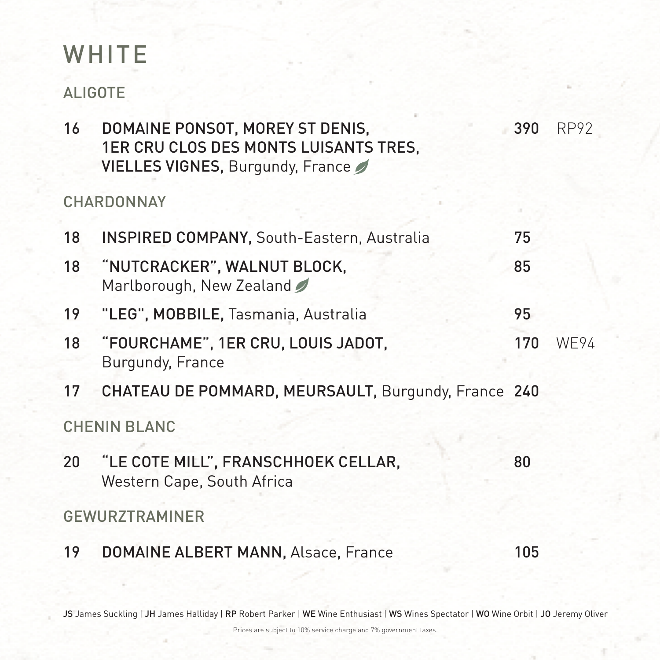## WHITE

### ALIGOTE

### 16 DOMAINE PONSOT, MOREY ST DENIS, 390 RP92 1ER CRU CLOS DES MONTS LUISANTS TRES, VIELLES VIGNES, Burgundy, France

- 18 INSPIRED COMPANY, South-Eastern, Australia 75
- 18 "NUTCRACKER", WALNUT BLOCK, 85 Marlborough, New Zealand

### CHARDONNAY

- 19 "LEG", MOBBILE, Tasmania, Australia 95
- 18 "FOURCHAME", 1ER CRU, LOUIS JADOT, 170 WE94 Burgundy, France
- 17 CHATEAU DE POMMARD, MEURSAULT, Burgundy, France 240

CHENIN BLANC

20 "LE COTE MILL", FRANSCHHOEK CELLAR, 80 Western Cape, South Africa

GEWURZTRAMINER

19 DOMAINE ALBERT MANN, Alsace, France 105

### JS James Suckling | JH James Halliday | RP Robert Parker | WE Wine Enthusiast | WS Wines Spectator | WO Wine Orbit | JO Jeremy Oliver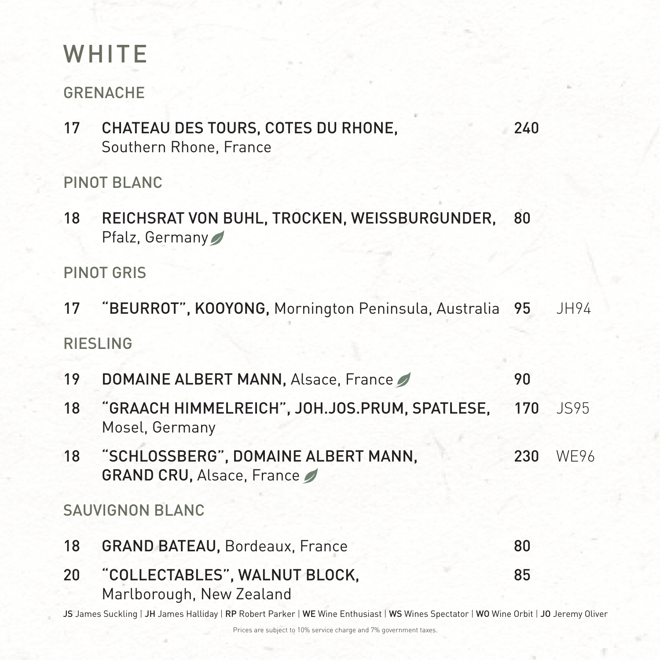# WHITE

GRENACHE

18 REICHSRAT VON BUHL, TROCKEN, WEISSBURGUNDER, 80 Pfalz, Germany

17 CHATEAU DES TOURS, COTES DU RHONE, 240 Southern Rhone, France

- 17 "BEURROT", KOOYONG, Mornington Peninsula, Australia 95 JH94 RIESLING
- 19 DOMAINE ALBERT MANN, Alsace, France 20 90
- 18 "GRAACH HIMMELREICH", JOH.JOS.PRUM, SPATLESE, 170 JS95 Mosel, Germany
- 18 "SCHLOSSBERG", DOMAINE ALBERT MANN, 230 WE96 GRAND CRU, Alsace, France

PINOT BLANC

PINOT GRIS

- 18 GRAND BATEAU, Bordeaux, France 80
- 20 "COLLECTABLES", WALNUT BLOCK, 85 Marlborough, New Zealand

#### JS James Suckling | JH James Halliday | RP Robert Parker | WE Wine Enthusiast | WS Wines Spectator | WO Wine Orbit | JO Jeremy Oliver

SAUVIGNON BLANC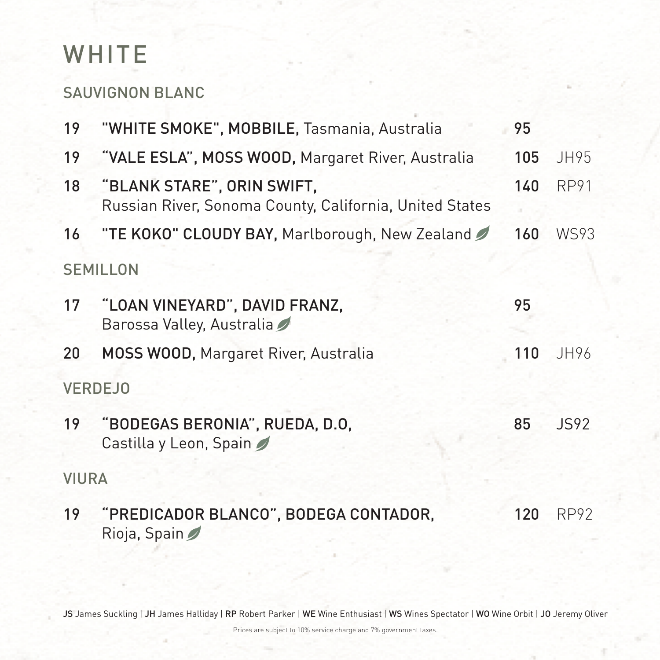## WHITE

SAUVIGNON BLANC

- 19 "WHITE SMOKE", MOBBILE, Tasmania, Australia 95
- 19 "VALE ESLA", MOSS WOOD, Margaret River, Australia 105 JH95
- 18 "BLANK STARE", ORIN SWIFT, 140 RP91 Russian River, Sonoma County, California, United States
- 16 "TE KOKO" CLOUDY BAY, Marlborough, New Zealand 2 160 WS93 SEMILLON
- 17 "LOAN VINEYARD", DAVID FRANZ, 95 Barossa Valley, Australia
- 20 MOSS WOOD, Margaret River, Australia 110 JH96

19 "PREDICADOR BLANCO", BODEGA CONTADOR, 120 RP92 Rioja, Spain

### JS James Suckling | JH James Halliday | RP Robert Parker | WE Wine Enthusiast | WS Wines Spectator | WO Wine Orbit | JO Jeremy Oliver

### VERDEJO

19 "BODEGAS BERONIA", RUEDA, D.O, 85 JS92 Castilla y Leon, Spain

VIURA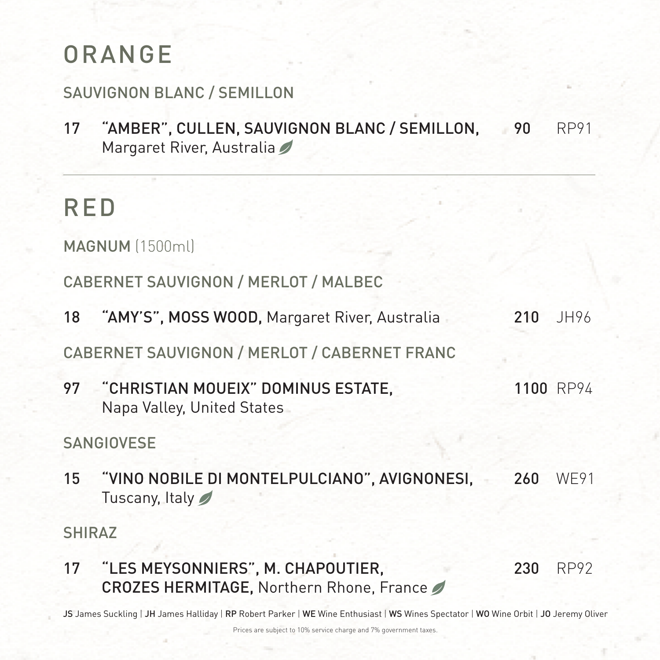## ORANGE

SAUVIGNON BLANC / SEMILLON

17 "AMBER", CULLEN, SAUVIGNON BLANC / SEMILLON, 90 RP91 Margaret River, Australia

RED

MAGNUM (1500ml)

CABERNET SAUVIGNON / MERLOT / MALBEC

97 "CHRISTIAN MOUEIX" DOMINUS ESTATE, 1100 RP94 Napa Valley, United States

15 "VINO NOBILE DI MONTELPULCIANO", AVIGNONESI, 260 WE91 Tuscany, Italy

18 "AMY'S", MOSS WOOD, Margaret River, Australia 210 JH96

CABERNET SAUVIGNON / MERLOT / CABERNET FRANC

SANGIOVESE

SHIRAZ

17 "LES MEYSONNIERS", M. CHAPOUTIER, 230 RP92 CROZES HERMITAGE, Northern Rhone, France

### JS James Suckling | JH James Halliday | RP Robert Parker | WE Wine Enthusiast | WS Wines Spectator | WO Wine Orbit | JO Jeremy Oliver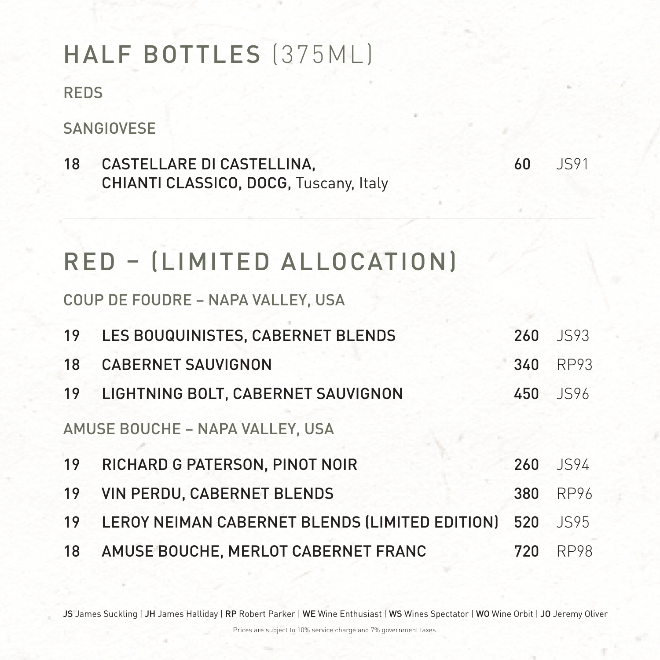## HALF BOTTLES (375ML)

REDS

SANGIOVESE

18 CASTELLARE DI CASTELLINA, 60 JS91 CHIANTI CLASSICO, DOCG, Tuscany, Italy

19 LES BOUQUINISTES, CABERNET BLENDS 260 JS93 18 CABERNET SAUVIGNON 340 RP93 19 LIGHTNING BOLT, CABERNET SAUVIGNON 450 JS96 AMUSE BOUCHE – NAPA VALLEY, USA 19 RICHARD G PATERSON, PINOT NOIR 260 JS94 19 VIN PERDU, CABERNET BLENDS 380 RP96 19 LEROY NEIMAN CABERNET BLENDS (LIMITED EDITION) 520 JS95 18 AMUSE BOUCHE, MERLOT CABERNET FRANC 720 RP98

### JS James Suckling | JH James Halliday | RP Robert Parker | WE Wine Enthusiast | WS Wines Spectator | WO Wine Orbit | JO Jeremy Oliver

# RED – (LIMITED ALLOCATION)

COUP DE FOUDRE – NAPA VALLEY, USA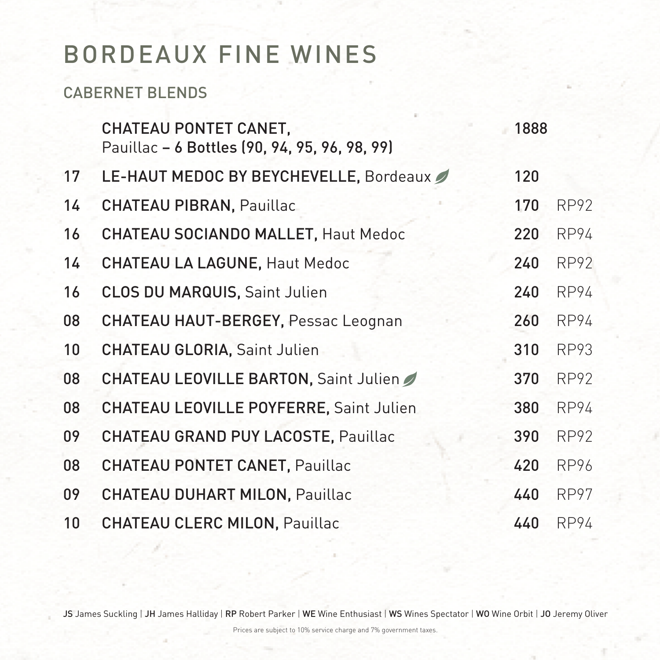## BORDEAUX FINE WINES

CABERNET BLENDS

CHATEAU PONTET CANET, 1888 Pauillac – 6 Bottles (90, 94, 95, 96, 98, 99)

- 17 LE-HAUT MEDOC BY BEYCHEVELLE, Bordeaux 120
- 14 CHATEAU PIBRAN, Pauillac 170 RP92
- 16 CHATEAU SOCIANDO MALLET, Haut Medoc 220 RP94
- 14 CHATEAU LA LAGUNE, Haut Medoc 240 RP92
- 16 CLOS DU MARQUIS, Saint Julien 240 RP94

| 08 | CHATEAU HAUT-BERGEY, Pessac Leognan     | 260 | <b>RP94</b> |
|----|-----------------------------------------|-----|-------------|
|    | 10 CHATEAU GLORIA, Saint Julien         | 310 | RP93        |
| 08 | CHATEAU LEOVILLE BARTON, Saint Julien   | 370 | RP92        |
| 08 | CHATEAU LEOVILLE POYFERRE, Saint Julien | 380 | RP94        |
| 09 | CHATEAU GRAND PUY LACOSTE, Pauillac     | 390 | RP92        |
| 08 | CHATEAU PONTET CANET, Pauillac          | 420 | RP96        |
| 09 | CHATEAU DUHART MILON, Pauillac          | 440 | RP97        |
|    | 10 CHATEAU CLERC MILON, Pauillac        | 440 | RP94        |
|    |                                         |     |             |

### JS James Suckling | JH James Halliday | RP Robert Parker | WE Wine Enthusiast | WS Wines Spectator | WO Wine Orbit | JO Jeremy Oliver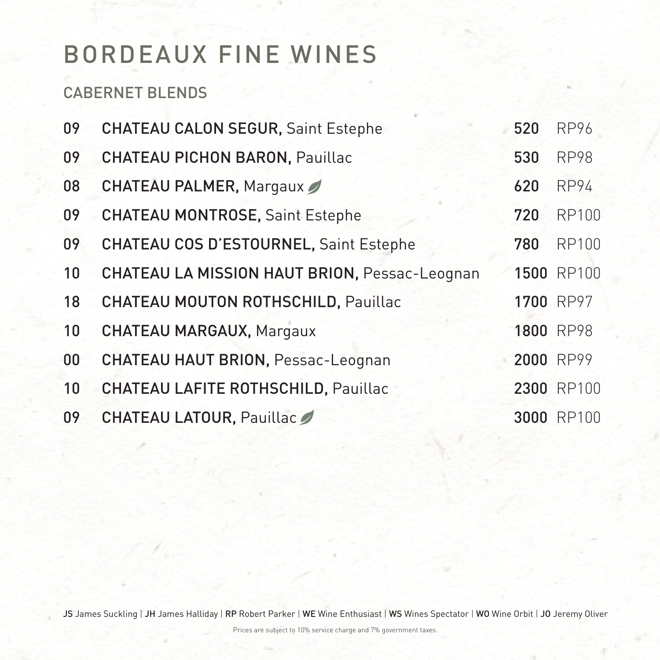## BORDEAUX FINE WINES

CABERNET BLENDS

- 09 CHATEAU CALON SEGUR, Saint Estephe 520 RP96 09 CHATEAU PICHON BARON, Pauillac 530 RP98 08 CHATEAU PALMER, Margaux 620 RP94 09 CHATEAU MONTROSE, Saint Estephe 720 RP100 09 CHATEAU COS D'ESTOURNEL, Saint Estephe 780 RP100 10 CHATEAU LA MISSION HAUT BRION, Pessac-Leognan 1500 RP100
	-
	- 18 CHATEAU MOUTON ROTHSCHILD, Pauillac 1700 RP97
	- 10 CHATEAU MARGAUX, Margaux 1800 RP98
- 00 CHATEAU HAUT BRION, Pessac-Leognan 2000 RP99
- 10 CHATEAU LAFITE ROTHSCHILD, Pauillac 2300 RP100
- 09 CHATEAU LATOUR, Pauillac 3000 RP100

### JS James Suckling | JH James Halliday | RP Robert Parker | WE Wine Enthusiast | WS Wines Spectator | WO Wine Orbit | JO Jeremy Oliver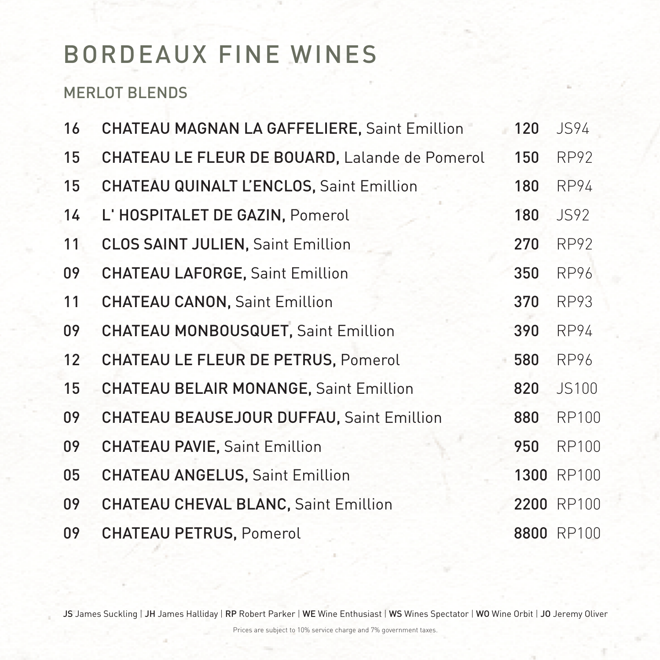Prices are subject to 10% service charge and 7% government taxes.

## BORDEAUX FINE WINES

MERLOT BLENDS

- 16 CHATEAU MAGNAN LA GAFFELIERE, Saint Emillion 120 JS94 15 CHATEAU LE FLEUR DE BOUARD, Lalande de Pomerol 150 RP92 15 CHATEAU QUINALT L'ENCLOS, Saint Emillion 180 RP94 14 L'HOSPITALET DE GAZIN, Pomerol 180 JS92 11 CLOS SAINT JULIEN, Saint Emillion 270 RP92 09 CHATEAU LAFORGE, Saint Emillion 350 RP96 CHATEAU CANON, Saint Emillion 370 RP93 09 CHATEAU MONBOUSQUET, Saint Emillion 390 RP94 12 CHATEAU LE FLEUR DE PETRUS, Pomerol 580 RP96 15 CHATEAU BELAIR MONANGE, Saint Emillion 820 JS100 09 CHATEAU BEAUSEJOUR DUFFAU, Saint Emillion 880 RP100 09 CHATEAU PAVIE, Saint Emillion 950 RP100 05 CHATEAU ANGELUS, Saint Emillion 1300 RP100 09 CHATEAU CHEVAL BLANC, Saint Emillion 2200 RP100 09 CHATEAU PETRUS, Pomerol 8800 RP100
- 

### JS James Suckling | JH James Halliday | RP Robert Parker | WE Wine Enthusiast | WS Wines Spectator | WO Wine Orbit | JO Jeremy Oliver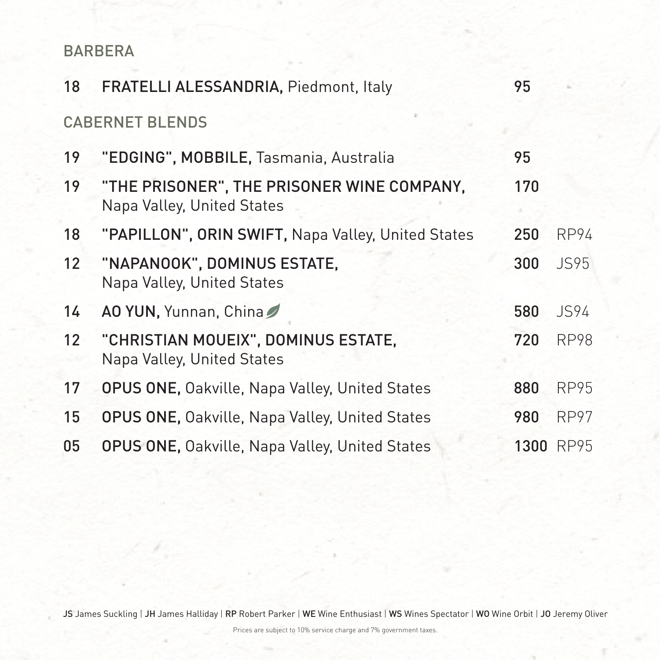### BARBERA

- 18 FRATELLI ALESSANDRIA, Piedmont, Italy 95 CABERNET BLENDS
- 19 "EDGING", MOBBILE, Tasmania, Australia 95
- 19 "THE PRISONER", THE PRISONER WINE COMPANY, 170 Napa Valley, United States
- 18 "PAPILLON", ORIN SWIFT, Napa Valley, United States 250 RP94
- 12 "NAPANOOK", DOMINUS ESTATE, 300 JS95 Napa Valley, United States
- 14 AO YUN, Yunnan, China 7 680 580 594 12 "CHRISTIAN MOUEIX", DOMINUS ESTATE, 720 RP98 Napa Valley, United States 17 OPUS ONE, Oakville, Napa Valley, United States 880 RP95 15 OPUS ONE, Oakville, Napa Valley, United States 980 RP97 05 OPUS ONE, Oakville, Napa Valley, United States 1300 RP95

### JS James Suckling | JH James Halliday | RP Robert Parker | WE Wine Enthusiast | WS Wines Spectator | WO Wine Orbit | JO Jeremy Oliver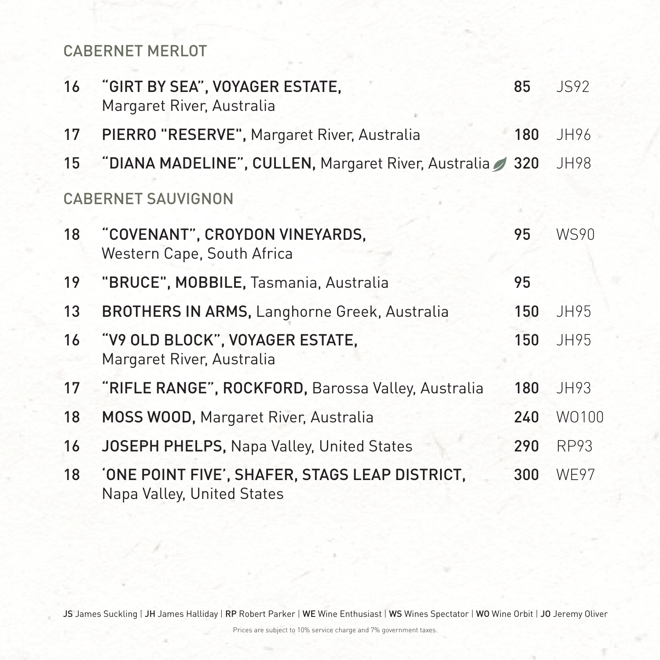### CABERNET MERLOT

- 16 "GIRT BY SEA", VOYAGER ESTATE, 85 9892 Margaret River, Australia
- 17 PIERRO "RESERVE", Margaret River, Australia 180 JH96
- 15 "DIANA MADELINE", CULLEN, Margaret River, Australia / 320 JH98

### CABERNET SAUVIGNON

- 18 "COVENANT", CROYDON VINEYARDS, 95 WS90 Western Cape, South Africa
- 19 "BRUCE", MOBBILE, Tasmania, Australia 95
- 13 BROTHERS IN ARMS, Langhorne Greek, Australia 150 JH95 16 "V9 OLD BLOCK", VOYAGER ESTATE, 150 JH95 Margaret River, Australia 17 "RIFLE RANGE", ROCKFORD, Barossa Valley, Australia 180 JH93 18 MOSS WOOD, Margaret River, Australia 240 WO100 16 JOSEPH PHELPS, Napa Valley, United States 290 RP93 18 'ONE POINT FIVE', SHAFER, STAGS LEAP DISTRICT, 300 WE97 Napa Valley, United States

### JS James Suckling | JH James Halliday | RP Robert Parker | WE Wine Enthusiast | WS Wines Spectator | WO Wine Orbit | JO Jeremy Oliver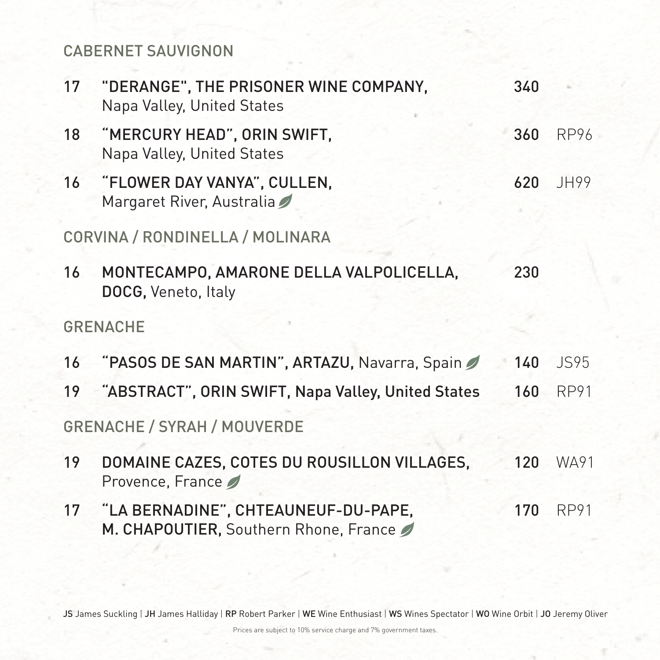### CABERNET SAUVIGNON

17 "DERANGE", THE PRISONER WINE COMPANY, 340 Napa Valley, United States

- 18 "MERCURY HEAD", ORIN SWIFT, 360 RP96 Napa Valley, United States
- 16 "FLOWER DAY VANYA", CULLEN, 620 JH99 Margaret River, Australia

- 16 "PASOS DE SAN MARTIN", ARTAZU, Navarra, Spain 2 140 JS95
- 19 "ABSTRACT", ORIN SWIFT, Napa Valley, United States 160 RP91

CORVINA / RONDINELLA / MOLINARA

16 MONTECAMPO, AMARONE DELLA VALPOLICELLA, 230 DOCG, Veneto, Italy

### GRENACHE

GRENACHE / SYRAH / MOUVERDE

- 19 DOMAINE CAZES, COTES DU ROUSILLON VILLAGES, 120 WA91 Provence, France
- 17 "LA BERNADINE", CHTEAUNEUF-DU-PAPE, 170 RP91 M. CHAPOUTIER, Southern Rhone, France

### JS James Suckling | JH James Halliday | RP Robert Parker | WE Wine Enthusiast | WS Wines Spectator | WO Wine Orbit | JO Jeremy Oliver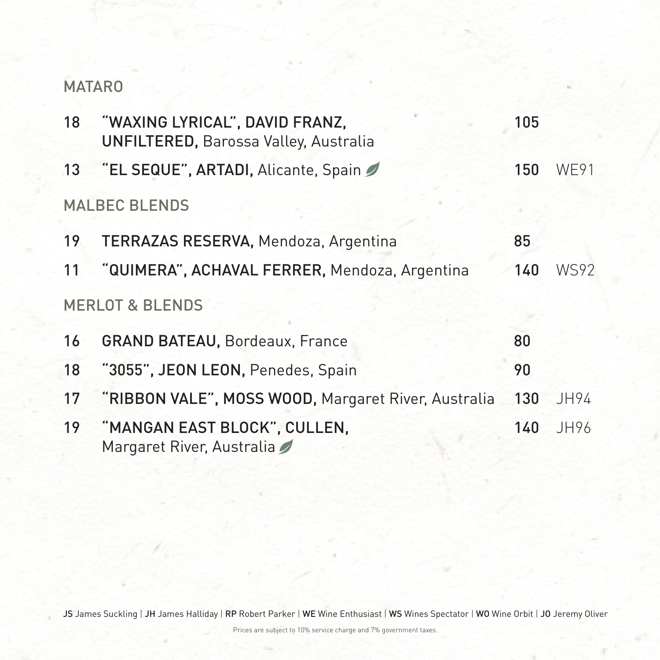### MATARO

18 "WAXING LYRICAL", DAVID FRANZ, 105 UNFILTERED, Barossa Valley, Australia 13 "EL SEQUE", ARTADI, Alicante, Spain 150 WE91

### MALBEC BLENDS

- 19 TERRAZAS RESERVA, Mendoza, Argentina 85
- 11 "QUIMERA", ACHAVAL FERRER, Mendoza, Argentina 140 WS92

### MERLOT & BLENDS

- 16 GRAND BATEAU, Bordeaux, France 80
- 18 "3055", JEON LEON, Penedes, Spain 90
- 17 "RIBBON VALE", MOSS WOOD, Margaret River, Australia 130 JH94
- 19 "MANGAN EAST BLOCK", CULLEN, 140 JH96 Margaret River, Australia

### JS James Suckling | JH James Halliday | RP Robert Parker | WE Wine Enthusiast | WS Wines Spectator | WO Wine Orbit | JO Jeremy Oliver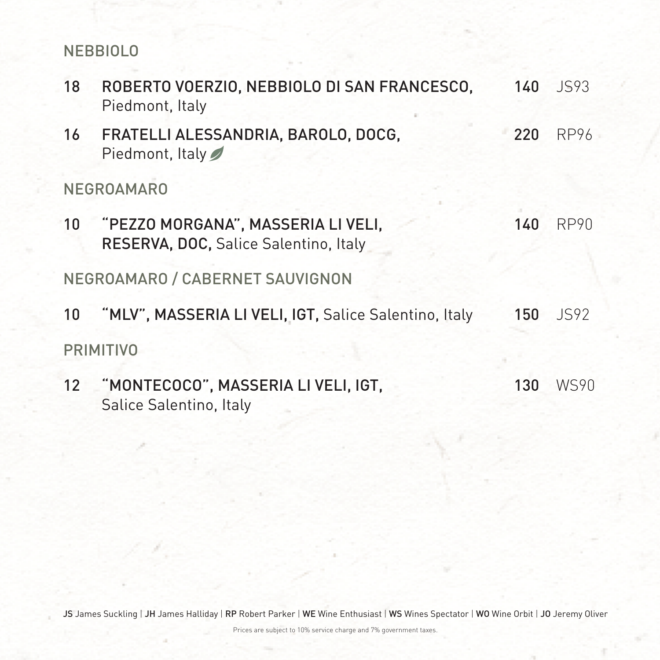### NEBBIOLO

- 18 ROBERTO VOERZIO, NEBBIOLO DI SAN FRANCESCO, 140 JS93 Piedmont, Italy
- 16 FRATELLI ALESSANDRIA, BAROLO, DOCG, 220 RP96 Piedmont, Italy

10 "PEZZO MORGANA", MASSERIA LI VELI, 140 RP90 RESERVA, DOC, Salice Salentino, Italy

NEGROAMARO

## 10 "MLV", MASSERIA LI VELI, IGT, Salice Salentino, Italy 150 JS92 PRIMITIVO

### 12 "MONTECOCO", MASSERIA LI VELI, IGT, 130 WS90 Salice Salentino, Italy

### JS James Suckling | JH James Halliday | RP Robert Parker | WE Wine Enthusiast | WS Wines Spectator | WO Wine Orbit | JO Jeremy Oliver

NEGROAMARO / CABERNET SAUVIGNON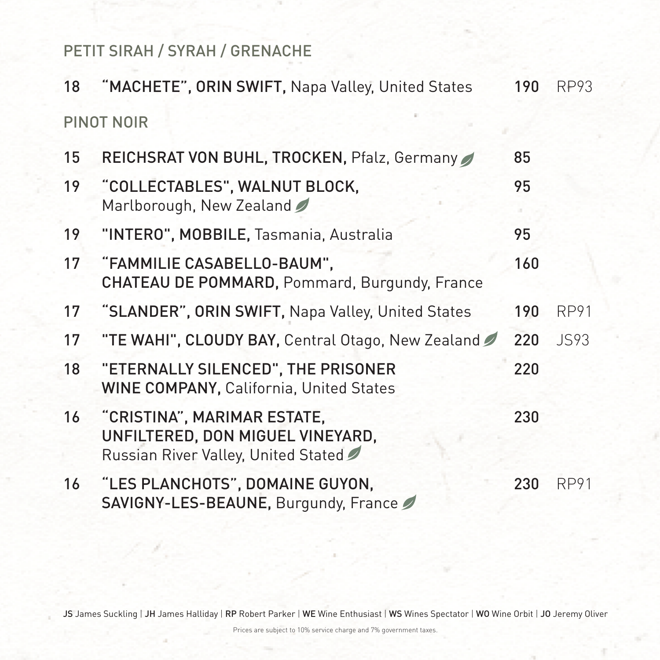PETIT SIRAH / SYRAH / GRENACHE

18 "MACHETE", ORIN SWIFT, Napa Valley, United States 190 RP93 PINOT NOIR

- 15 REICHSRAT VON BUHL, TROCKEN, Pfalz, Germany 65
- 19 "COLLECTABLES", WALNUT BLOCK, 95 Marlborough, New Zealand
- 19 "INTERO", MOBBILE, Tasmania, Australia 95
- 17 "FAMMILIE CASABELLO-BAUM", 160 CHATEAU DE POMMARD, Pommard, Burgundy, France 17 "SLANDER", ORIN SWIFT, Napa Valley, United States 190 RP91 17 "TE WAHI", CLOUDY BAY, Central Otago, New Zealand 220 JS93 18 "ETERNALLY SILENCED", THE PRISONER 220 WINE COMPANY, California, United States 16 "CRISTINA", MARIMAR ESTATE, 230 UNFILTERED, DON MIGUEL VINEYARD, Russian River Valley, United Stated 16 "LES PLANCHOTS", DOMAINE GUYON, 230 RP91 SAVIGNY-LES-BEAUNE, Burgundy, France

### JS James Suckling | JH James Halliday | RP Robert Parker | WE Wine Enthusiast | WS Wines Spectator | WO Wine Orbit | JO Jeremy Oliver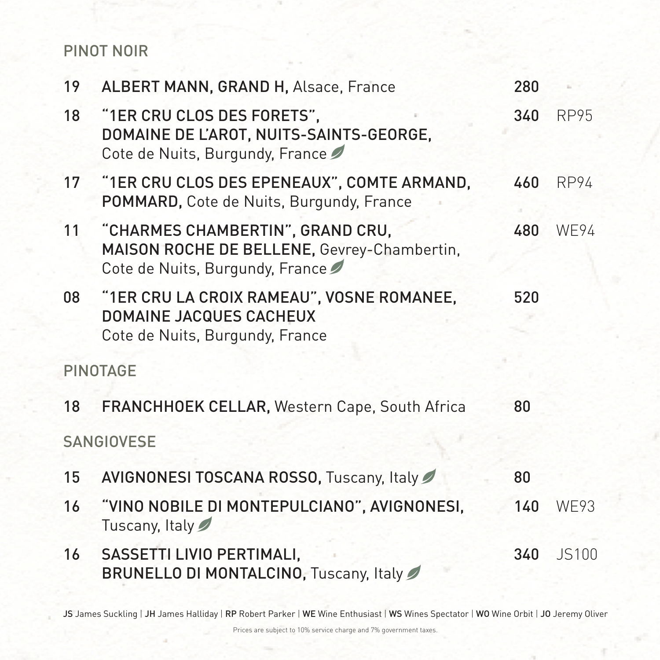### PINOT NOIR

- 19 ALBERT MANN, GRAND H, Alsace, France 280 18 "1ER CRU CLOS DES FORETS", 340 RP95 DOMAINE DE L'AROT, NUITS-SAINTS-GEORGE, Cote de Nuits, Burgundy, France
- 17 "1ER CRU CLOS DES EPENEAUX", COMTE ARMAND, 460 RP94 POMMARD, Cote de Nuits, Burgundy, France
- 11 "CHARMES CHAMBERTIN", GRAND CRU, 480 WE94 MAISON ROCHE DE BELLENE, Gevrey-Chambertin, Cote de Nuits, Burgundy, France
- 08 "1ER CRU LA CROIX RAMEAU", VOSNE ROMANEE, 520 DOMAINE JACQUES CACHEUX Cote de Nuits, Burgundy, France

PINOTAGE

- 18 FRANCHHOEK CELLAR, Western Cape, South Africa 80 SANGIOVESE
- 15 AVIGNONESI TOSCANA ROSSO, Tuscany, Italy 15
- 16 "VINO NOBILE DI MONTEPULCIANO", AVIGNONESI, 140 WE93 Tuscany, Italy
- 16 SASSETTI LIVIO PERTIMALI, 340 35100 BRUNELLO DI MONTALCINO, Tuscany, Italy

### JS James Suckling | JH James Halliday | RP Robert Parker | WE Wine Enthusiast | WS Wines Spectator | WO Wine Orbit | JO Jeremy Oliver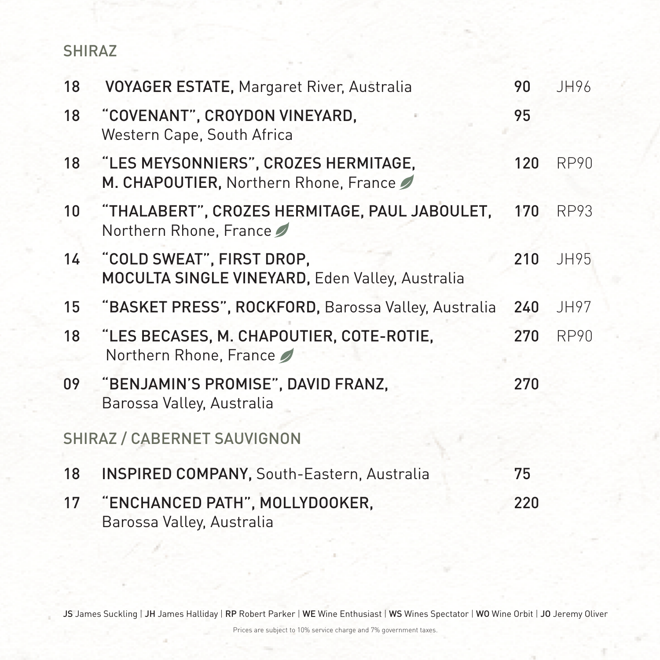### SHIRAZ

- 18 VOYAGER ESTATE, Margaret River, Australia 90 JH96
- 18 "COVENANT", CROYDON VINEYARD, 95 Western Cape, South Africa
- 18 "LES MEYSONNIERS", CROZES HERMITAGE, 120 RP90 M. CHAPOUTIER, Northern Rhone, France
- 10 "THALABERT", CROZES HERMITAGE, PAUL JABOULET, 170 RP93 Northern Rhone, France
- 14 "COLD SWEAT", FIRST DROP, 210 JH95 MOCULTA SINGLE VINEYARD, Eden Valley, Australia
- 15 "BASKET PRESS", ROCKFORD, Barossa Valley, Australia 240 JH97
- 18 "LES BECASES, M. CHAPOUTIER, COTE-ROTIE, 270 RP90 Northern Rhone, France
- 09 "BENJAMIN'S PROMISE", DAVID FRANZ, 270 Barossa Valley, Australia

SHIRAZ / CABERNET SAUVIGNON

- 18 INSPIRED COMPANY, South-Eastern, Australia 75
- 17 "ENCHANCED PATH", MOLLYDOOKER, 220 Barossa Valley, Australia

### JS James Suckling | JH James Halliday | RP Robert Parker | WE Wine Enthusiast | WS Wines Spectator | WO Wine Orbit | JO Jeremy Oliver